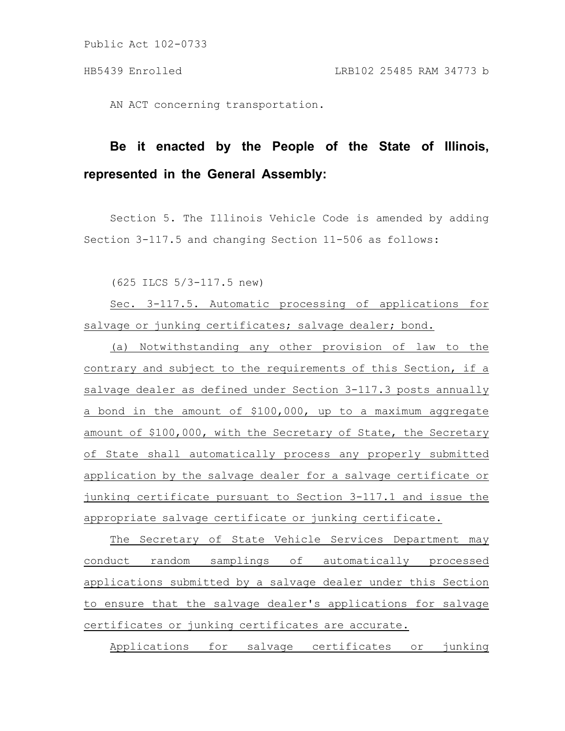Public Act 102-0733

AN ACT concerning transportation.

# **Be it enacted by the People of the State of Illinois, represented in the General Assembly:**

Section 5. The Illinois Vehicle Code is amended by adding Section 3-117.5 and changing Section 11-506 as follows:

(625 ILCS 5/3-117.5 new)

Sec. 3-117.5. Automatic processing of applications for salvage or junking certificates; salvage dealer; bond.

(a) Notwithstanding any other provision of law to the contrary and subject to the requirements of this Section, if a salvage dealer as defined under Section 3-117.3 posts annually a bond in the amount of \$100,000, up to a maximum aggregate amount of \$100,000, with the Secretary of State, the Secretary of State shall automatically process any properly submitted application by the salvage dealer for a salvage certificate or junking certificate pursuant to Section 3-117.1 and issue the appropriate salvage certificate or junking certificate.

The Secretary of State Vehicle Services Department may conduct random samplings of automatically processed applications submitted by a salvage dealer under this Section to ensure that the salvage dealer's applications for salvage certificates or junking certificates are accurate.

Applications for salvage certificates or junking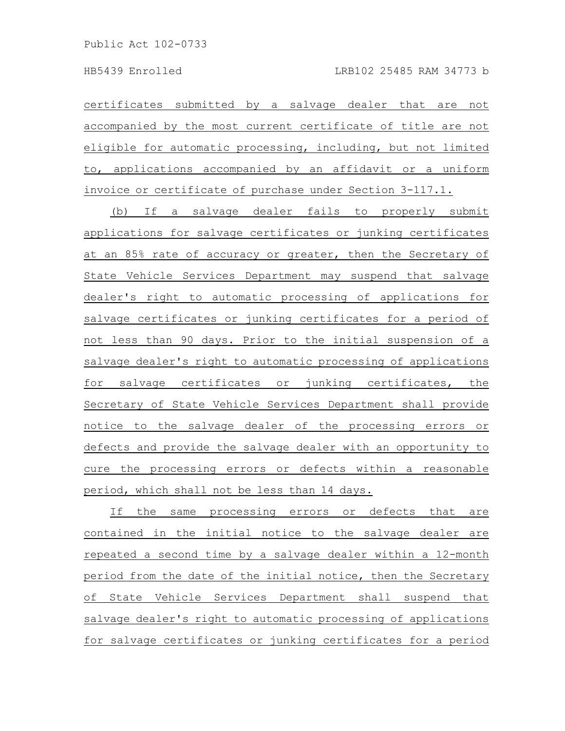certificates submitted by a salvage dealer that are not accompanied by the most current certificate of title are not eligible for automatic processing, including, but not limited to, applications accompanied by an affidavit or a uniform invoice or certificate of purchase under Section 3-117.1.

(b) If a salvage dealer fails to properly submit applications for salvage certificates or junking certificates at an 85% rate of accuracy or greater, then the Secretary of State Vehicle Services Department may suspend that salvage dealer's right to automatic processing of applications for salvage certificates or junking certificates for a period of not less than 90 days. Prior to the initial suspension of a salvage dealer's right to automatic processing of applications for salvage certificates or junking certificates, the Secretary of State Vehicle Services Department shall provide notice to the salvage dealer of the processing errors or defects and provide the salvage dealer with an opportunity to cure the processing errors or defects within a reasonable period, which shall not be less than 14 days.

If the same processing errors or defects that are contained in the initial notice to the salvage dealer are repeated a second time by a salvage dealer within a 12-month period from the date of the initial notice, then the Secretary of State Vehicle Services Department shall suspend that salvage dealer's right to automatic processing of applications for salvage certificates or junking certificates for a period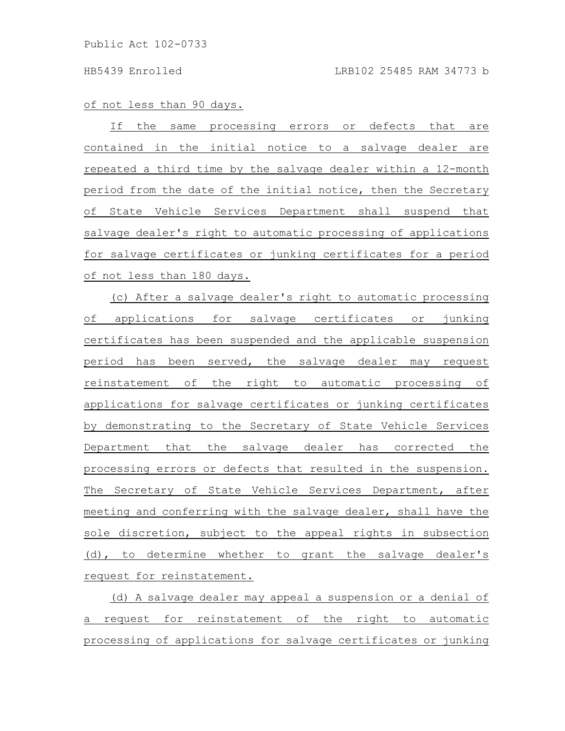### of not less than 90 days.

If the same processing errors or defects that are contained in the initial notice to a salvage dealer are repeated a third time by the salvage dealer within a 12-month period from the date of the initial notice, then the Secretary of State Vehicle Services Department shall suspend that salvage dealer's right to automatic processing of applications for salvage certificates or junking certificates for a period of not less than 180 days.

(c) After a salvage dealer's right to automatic processing of applications for salvage certificates or junking certificates has been suspended and the applicable suspension period has been served, the salvage dealer may request reinstatement of the right to automatic processing of applications for salvage certificates or junking certificates by demonstrating to the Secretary of State Vehicle Services Department that the salvage dealer has corrected the processing errors or defects that resulted in the suspension. The Secretary of State Vehicle Services Department, after meeting and conferring with the salvage dealer, shall have the sole discretion, subject to the appeal rights in subsection (d), to determine whether to grant the salvage dealer's request for reinstatement.

(d) A salvage dealer may appeal a suspension or a denial of a request for reinstatement of the right to automatic processing of applications for salvage certificates or junking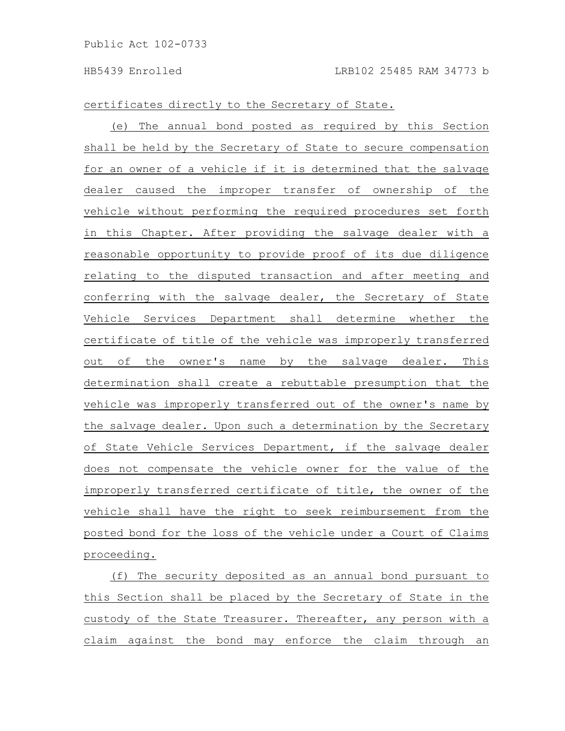certificates directly to the Secretary of State.

(e) The annual bond posted as required by this Section shall be held by the Secretary of State to secure compensation for an owner of a vehicle if it is determined that the salvage dealer caused the improper transfer of ownership of the vehicle without performing the required procedures set forth in this Chapter. After providing the salvage dealer with a reasonable opportunity to provide proof of its due diligence relating to the disputed transaction and after meeting and conferring with the salvage dealer, the Secretary of State Vehicle Services Department shall determine whether the certificate of title of the vehicle was improperly transferred out of the owner's name by the salvage dealer. This determination shall create a rebuttable presumption that the vehicle was improperly transferred out of the owner's name by the salvage dealer. Upon such a determination by the Secretary of State Vehicle Services Department, if the salvage dealer does not compensate the vehicle owner for the value of the improperly transferred certificate of title, the owner of the vehicle shall have the right to seek reimbursement from the posted bond for the loss of the vehicle under a Court of Claims proceeding.

(f) The security deposited as an annual bond pursuant to this Section shall be placed by the Secretary of State in the custody of the State Treasurer. Thereafter, any person with a claim against the bond may enforce the claim through an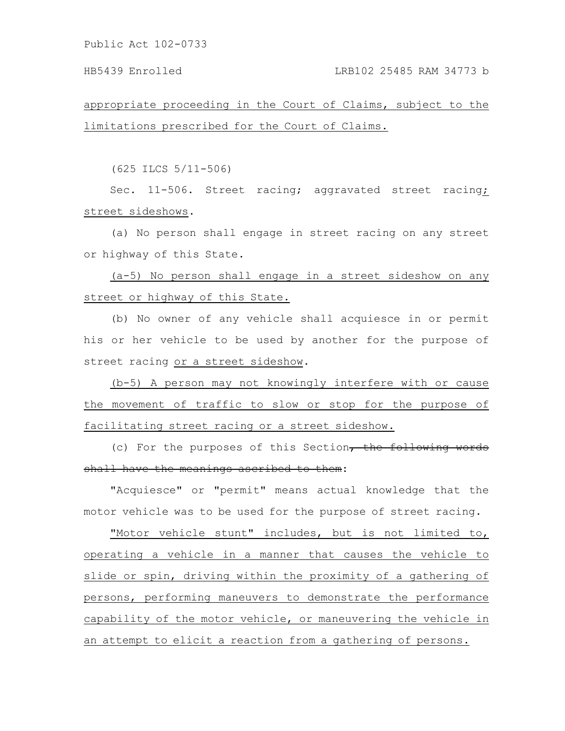Public Act 102-0733

## HB5439 Enrolled LRB102 25485 RAM 34773 b

appropriate proceeding in the Court of Claims, subject to the limitations prescribed for the Court of Claims.

(625 ILCS 5/11-506)

Sec. 11-506. Street racing; aggravated street racing; street sideshows.

(a) No person shall engage in street racing on any street or highway of this State.

(a-5) No person shall engage in a street sideshow on any street or highway of this State.

(b) No owner of any vehicle shall acquiesce in or permit his or her vehicle to be used by another for the purpose of street racing or a street sideshow.

(b-5) A person may not knowingly interfere with or cause the movement of traffic to slow or stop for the purpose of facilitating street racing or a street sideshow.

(c) For the purposes of this Section, the following words shall have the meanings ascribed to them:

"Acquiesce" or "permit" means actual knowledge that the motor vehicle was to be used for the purpose of street racing.

"Motor vehicle stunt" includes, but is not limited to, operating a vehicle in a manner that causes the vehicle to slide or spin, driving within the proximity of a gathering of persons, performing maneuvers to demonstrate the performance capability of the motor vehicle, or maneuvering the vehicle in an attempt to elicit a reaction from a gathering of persons.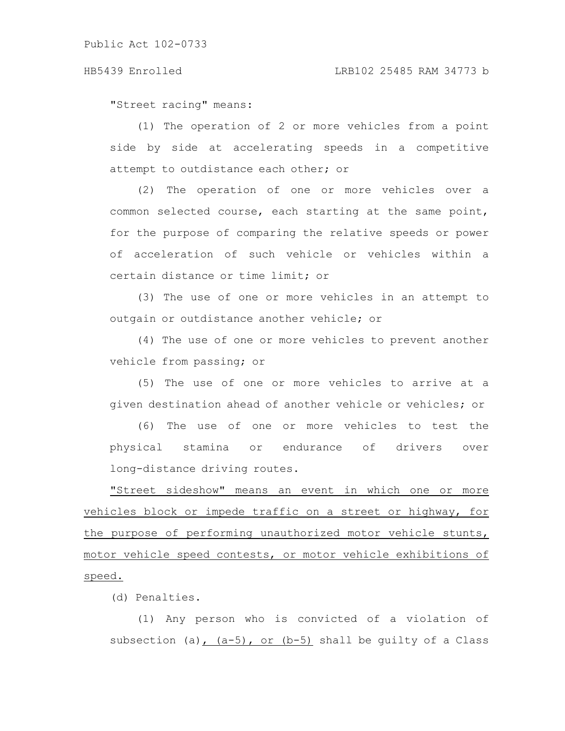"Street racing" means:

(1) The operation of 2 or more vehicles from a point side by side at accelerating speeds in a competitive attempt to outdistance each other; or

(2) The operation of one or more vehicles over a common selected course, each starting at the same point, for the purpose of comparing the relative speeds or power of acceleration of such vehicle or vehicles within a certain distance or time limit; or

(3) The use of one or more vehicles in an attempt to outgain or outdistance another vehicle; or

(4) The use of one or more vehicles to prevent another vehicle from passing; or

(5) The use of one or more vehicles to arrive at a given destination ahead of another vehicle or vehicles; or

(6) The use of one or more vehicles to test the physical stamina or endurance of drivers over long-distance driving routes.

"Street sideshow" means an event in which one or more vehicles block or impede traffic on a street or highway, for the purpose of performing unauthorized motor vehicle stunts, motor vehicle speed contests, or motor vehicle exhibitions of speed.

(d) Penalties.

(1) Any person who is convicted of a violation of subsection (a),  $(a-5)$ , or  $(b-5)$  shall be quilty of a Class